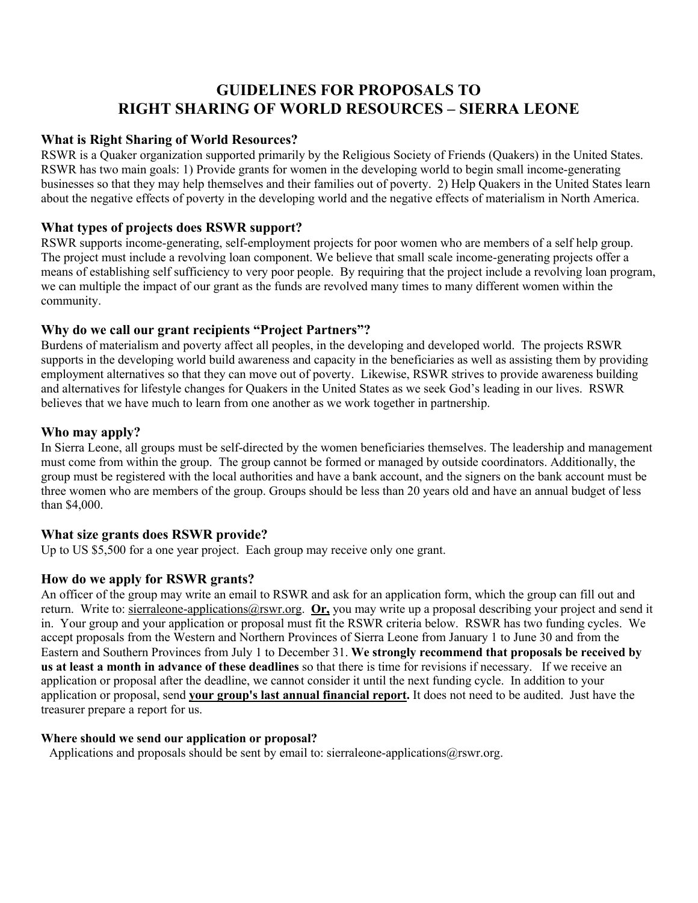# **GUIDELINES FOR PROPOSALS TO RIGHT SHARING OF WORLD RESOURCES – SIERRA LEONE**

#### **What is Right Sharing of World Resources?**

RSWR is a Quaker organization supported primarily by the Religious Society of Friends (Quakers) in the United States. RSWR has two main goals: 1) Provide grants for women in the developing world to begin small income-generating businesses so that they may help themselves and their families out of poverty. 2) Help Quakers in the United States learn about the negative effects of poverty in the developing world and the negative effects of materialism in North America.

#### **What types of projects does RSWR support?**

RSWR supports income-generating, self-employment projects for poor women who are members of a self help group. The project must include a revolving loan component. We believe that small scale income-generating projects offer a means of establishing self sufficiency to very poor people. By requiring that the project include a revolving loan program, we can multiple the impact of our grant as the funds are revolved many times to many different women within the community.

#### **Why do we call our grant recipients "Project Partners"?**

Burdens of materialism and poverty affect all peoples, in the developing and developed world. The projects RSWR supports in the developing world build awareness and capacity in the beneficiaries as well as assisting them by providing employment alternatives so that they can move out of poverty. Likewise, RSWR strives to provide awareness building and alternatives for lifestyle changes for Quakers in the United States as we seek God's leading in our lives. RSWR believes that we have much to learn from one another as we work together in partnership.

#### **Who may apply?**

In Sierra Leone, all groups must be self-directed by the women beneficiaries themselves. The leadership and management must come from within the group. The group cannot be formed or managed by outside coordinators. Additionally, the group must be registered with the local authorities and have a bank account, and the signers on the bank account must be three women who are members of the group. Groups should be less than 20 years old and have an annual budget of less than \$4,000.

## **What size grants does RSWR provide?**

Up to US \$5,500 for a one year project. Each group may receive only one grant.

## **How do we apply for RSWR grants?**

An officer of the group may write an email to RSWR and ask for an application form, which the group can fill out and return. Write to: sierraleone-applications@rswr.org. **Or,** you may write up a proposal describing your project and send it in. Your group and your application or proposal must fit the RSWR criteria below. RSWR has two funding cycles. We accept proposals from the Western and Northern Provinces of Sierra Leone from January 1 to June 30 and from the Eastern and Southern Provinces from July 1 to December 31. **We strongly recommend that proposals be received by us at least a month in advance of these deadlines** so that there is time for revisions if necessary. If we receive an application or proposal after the deadline, we cannot consider it until the next funding cycle. In addition to your application or proposal, send **your group's last annual financial report.** It does not need to be audited. Just have the treasurer prepare a report for us.

#### **Where should we send our application or proposal?**

Applications and proposals should be sent by email to: sierraleone-applications@rswr.org.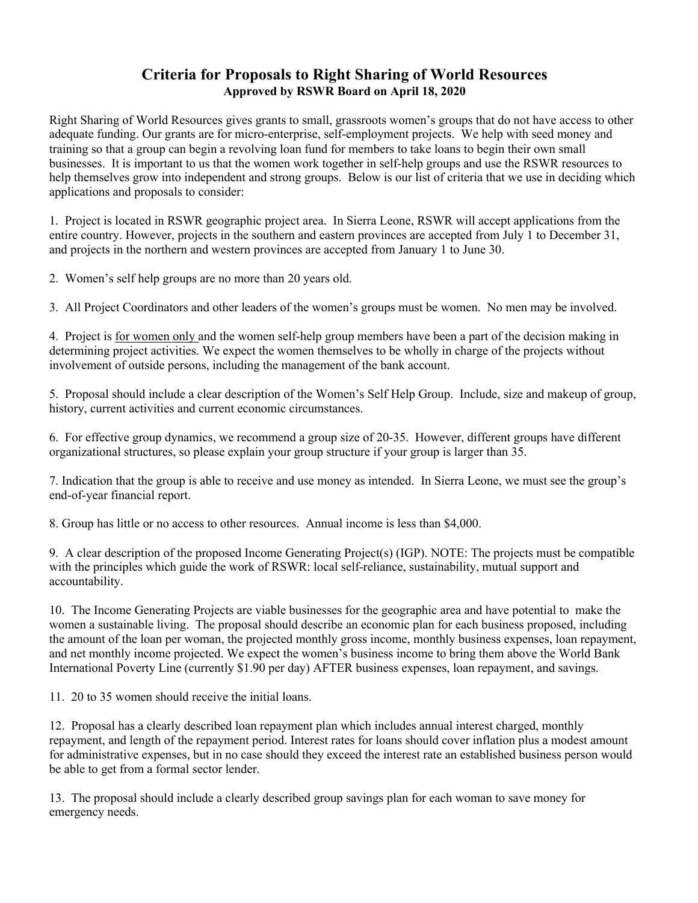# **Criteria for Proposals to Right Sharing of World Resources Approved by RSWR Board on April 18, 2020**

Right Sharing of World Resources gives grants to small, grassroots women's groups that do not have access to other adequate funding. Our grants are for micro-enterprise, self-employment projects. We help with seed money and training so that a group can begin a revolving loan fund for members to take loans to begin their own small businesses. It is important to us that the women work together in self-help groups and use the RSWR resources to help themselves grow into independent and strong groups. Below is our list of criteria that we use in deciding which applications and proposals to consider:

1. Project is located in RSWR geographic project area. In Sierra Leone, RSWR will accept applications from the entire country. However, projects in the southern and eastern provinces are accepted from July 1 to December 31, and projects in the northern and western provinces are accepted from January 1 to June 30.

2. Women's self help groups are no more than 20 years old.

3. All Project Coordinators and other leaders of the women's groups must be women. No men may be involved.

4. Project is for women only and the women self-help group members have been a part of the decision making in determining project activities. We expect the women themselves to be wholly in charge of the projects without involvement of outside persons, including the management of the bank account.

5. Proposal should include a clear description of the Women's Self Help Group. Include, size and makeup of group, history, current activities and current economic circumstances.

6. For effective group dynamics, we recommend a group size of 20-35. However, different groups have different organizational structures, so please explain your group structure if your group is larger than 35.

7. Indication that the group is able to receive and use money as intended. In Sierra Leone, we must see the group's end-of-year financial report.

8. Group has little or no access to other resources. Annual income is less than \$4,000.

9. A clear description of the proposed Income Generating Project(s) (IGP). NOTE: The projects must be compatible with the principles which guide the work of RSWR: local self-reliance, sustainability, mutual support and accountability.

10. The Income Generating Projects are viable businesses for the geographic area and have potential to make the women a sustainable living. The proposal should describe an economic plan for each business proposed, including the amount of the loan per woman, the projected monthly gross income, monthly business expenses, loan repayment, and net monthly income projected. We expect the women's business income to bring them above the World Bank International Poverty Line (currently \$1.90 per day) AFTER business expenses, loan repayment, and savings.

11. 20 to 35 women should receive the initial loans.

12. Proposal has a clearly described loan repayment plan which includes annual interest charged, monthly repayment, and length of the repayment period. Interest rates for loans should cover inflation plus a modest amount for administrative expenses, but in no case should they exceed the interest rate an established business person would be able to get from a formal sector lender.

13. The proposal should include a clearly described group savings plan for each woman to save money for emergency needs.